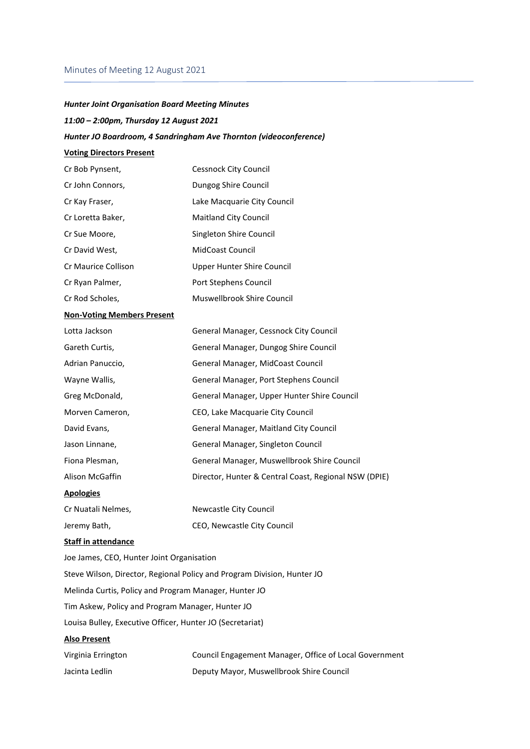# Minutes of Meeting 12 August 2021

# *Hunter Joint Organisation Board Meeting Minutes 11:00 – 2:00pm, Thursday 12 August 2021*

# *Hunter JO Boardroom, 4 Sandringham Ave Thornton (videoconference)*

# **Voting Directors Present**

| Cr Bob Pynsent,     | <b>Cessnock City Council</b> |
|---------------------|------------------------------|
| Cr John Connors,    | Dungog Shire Council         |
| Cr Kay Fraser,      | Lake Macquarie City Council  |
| Cr Loretta Baker,   | <b>Maitland City Council</b> |
| Cr Sue Moore,       | Singleton Shire Council      |
| Cr David West,      | MidCoast Council             |
| Cr Maurice Collison | Upper Hunter Shire Council   |
| Cr Ryan Palmer,     | Port Stephens Council        |
| Cr Rod Scholes,     | Muswellbrook Shire Council   |

#### **Non-Voting Members Present**

| Lotta Jackson      | General Manager, Cessnock City Council                |
|--------------------|-------------------------------------------------------|
| Gareth Curtis,     | General Manager, Dungog Shire Council                 |
| Adrian Panuccio,   | General Manager, MidCoast Council                     |
| Wayne Wallis,      | General Manager, Port Stephens Council                |
| Greg McDonald,     | General Manager, Upper Hunter Shire Council           |
| Morven Cameron,    | CEO, Lake Macquarie City Council                      |
| David Evans,       | General Manager, Maitland City Council                |
| Jason Linnane,     | General Manager, Singleton Council                    |
| Fiona Plesman,     | General Manager, Muswellbrook Shire Council           |
| Alison McGaffin    | Director, Hunter & Central Coast, Regional NSW (DPIE) |
| <b>Apologies</b>   |                                                       |
| Cr Nuatali Nelmes, | Newcastle City Council                                |

# Jeremy Bath, CEO, Newcastle City Council

# **Staff in attendance**

Joe James, CEO, Hunter Joint Organisation Steve Wilson, Director, Regional Policy and Program Division, Hunter JO Melinda Curtis, Policy and Program Manager, Hunter JO Tim Askew, Policy and Program Manager, Hunter JO Louisa Bulley, Executive Officer, Hunter JO (Secretariat) **Also Present**

| Virginia Errington | Council Engagement Manager, Office of Local Government |
|--------------------|--------------------------------------------------------|
| Jacinta Ledlin     | Deputy Mayor, Muswellbrook Shire Council               |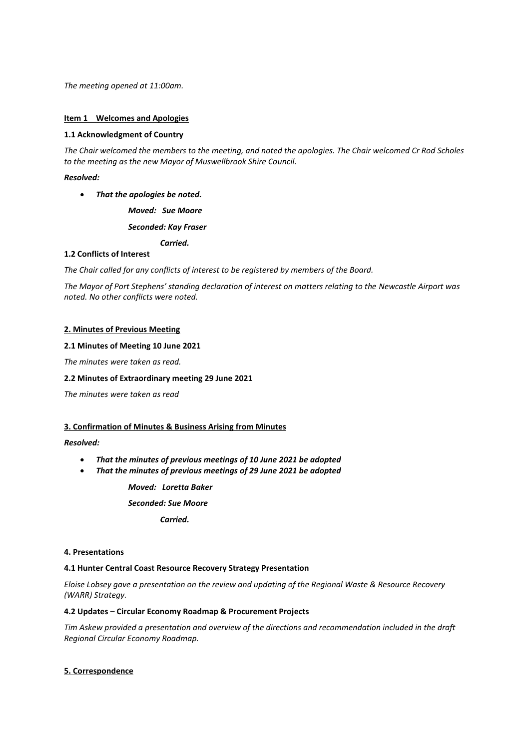*The meeting opened at 11:00am.*

#### **Item 1 Welcomes and Apologies**

#### **1.1 Acknowledgment of Country**

*The Chair welcomed the members to the meeting, and noted the apologies. The Chair welcomed Cr Rod Scholes to the meeting as the new Mayor of Muswellbrook Shire Council.*

#### *Resolved:*

• *That the apologies be noted.*

*Moved: Sue Moore*

*Seconded: Kay Fraser*

*Carried.*

#### **1.2 Conflicts of Interest**

*The Chair called for any conflicts of interest to be registered by members of the Board.* 

*The Mayor of Port Stephens' standing declaration of interest on matters relating to the Newcastle Airport was noted. No other conflicts were noted.*

#### **2. Minutes of Previous Meeting**

#### **2.1 Minutes of Meeting 10 June 2021**

*The minutes were taken as read.* 

#### **2.2 Minutes of Extraordinary meeting 29 June 2021**

*The minutes were taken as read*

# **3. Confirmation of Minutes & Business Arising from Minutes**

# *Resolved:*

- *That the minutes of previous meetings of 10 June 2021 be adopted*
- *That the minutes of previous meetings of 29 June 2021 be adopted*

*Moved: Loretta Baker*

*Seconded: Sue Moore*

*Carried.*

# **4. Presentations**

#### **4.1 Hunter Central Coast Resource Recovery Strategy Presentation**

*Eloise Lobsey gave a presentation on the review and updating of the Regional Waste & Resource Recovery (WARR) Strategy.*

#### **4.2 Updates – Circular Economy Roadmap & Procurement Projects**

*Tim Askew provided a presentation and overview of the directions and recommendation included in the draft Regional Circular Economy Roadmap.*

# **5. Correspondence**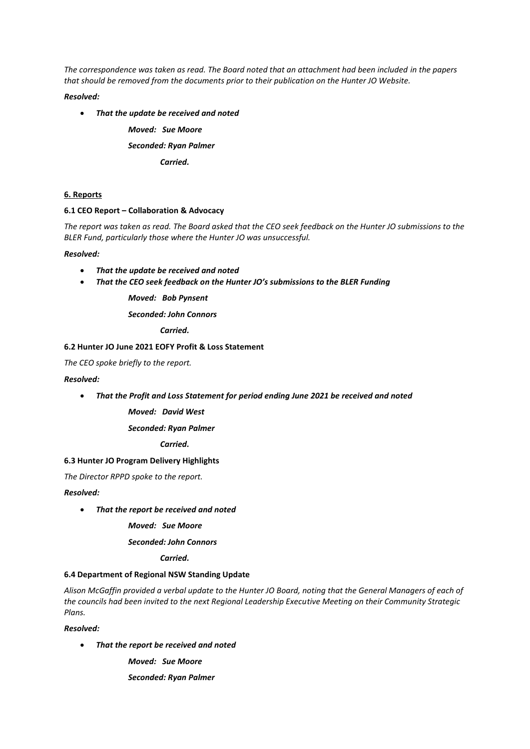*The correspondence was taken as read. The Board noted that an attachment had been included in the papers that should be removed from the documents prior to their publication on the Hunter JO Website.*

# *Resolved:*

• *That the update be received and noted*

*Moved: Sue Moore Seconded: Ryan Palmer Carried.*

# **6. Reports**

#### **6.1 CEO Report – Collaboration & Advocacy**

*The report was taken as read. The Board asked that the CEO seek feedback on the Hunter JO submissions to the BLER Fund, particularly those where the Hunter JO was unsuccessful.*

#### *Resolved:*

- *That the update be received and noted*
- *That the CEO seek feedback on the Hunter JO's submissions to the BLER Funding*

*Moved: Bob Pynsent*

*Seconded: John Connors*

*Carried.*

# **6.2 Hunter JO June 2021 EOFY Profit & Loss Statement**

*The CEO spoke briefly to the report.*

#### *Resolved:*

• *That the Profit and Loss Statement for period ending June 2021 be received and noted*

*Moved: David West*

*Seconded: Ryan Palmer*

*Carried.*

# **6.3 Hunter JO Program Delivery Highlights**

*The Director RPPD spoke to the report.*

#### *Resolved:*

• *That the report be received and noted*

*Moved: Sue Moore*

# *Seconded: John Connors*

*Carried.*

# **6.4 Department of Regional NSW Standing Update**

*Alison McGaffin provided a verbal update to the Hunter JO Board, noting that the General Managers of each of the councils had been invited to the next Regional Leadership Executive Meeting on their Community Strategic Plans.*

*Resolved:*

• *That the report be received and noted*

*Moved: Sue Moore*

*Seconded: Ryan Palmer*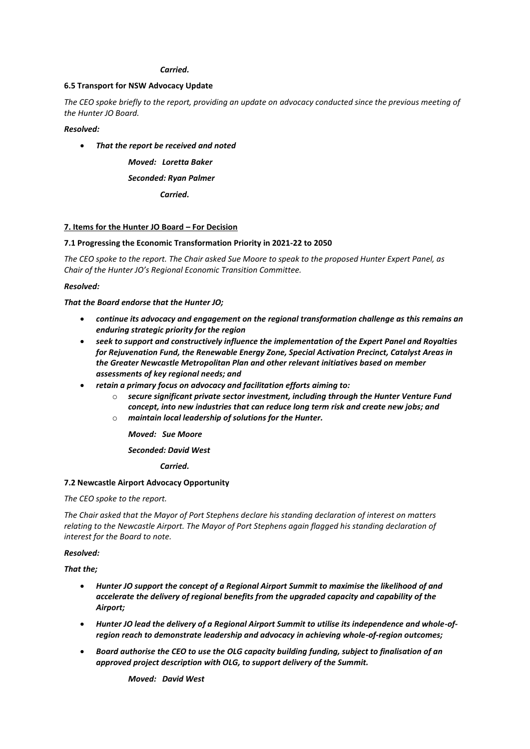#### *Carried.*

#### **6.5 Transport for NSW Advocacy Update**

*The CEO spoke briefly to the report, providing an update on advocacy conducted since the previous meeting of the Hunter JO Board.*

*Resolved:*

• *That the report be received and noted*

*Moved: Loretta Baker*

#### *Seconded: Ryan Palmer*

*Carried.*

#### **7. Items for the Hunter JO Board – For Decision**

#### **7.1 Progressing the Economic Transformation Priority in 2021-22 to 2050**

*The CEO spoke to the report. The Chair asked Sue Moore to speak to the proposed Hunter Expert Panel, as Chair of the Hunter JO's Regional Economic Transition Committee.*

#### *Resolved:*

#### *That the Board endorse that the Hunter JO;*

- *continue its advocacy and engagement on the regional transformation challenge as this remains an enduring strategic priority for the region*
- *seek to support and constructively influence the implementation of the Expert Panel and Royalties for Rejuvenation Fund, the Renewable Energy Zone, Special Activation Precinct, Catalyst Areas in the Greater Newcastle Metropolitan Plan and other relevant initiatives based on member assessments of key regional needs; and*
- *retain a primary focus on advocacy and facilitation efforts aiming to:*
	- o *secure significant private sector investment, including through the Hunter Venture Fund concept, into new industries that can reduce long term risk and create new jobs; and*  o *maintain local leadership of solutions for the Hunter.*

*Moved: Sue Moore*

# *Seconded: David West*

*Carried.*

#### **7.2 Newcastle Airport Advocacy Opportunity**

*The CEO spoke to the report.* 

*The Chair asked that the Mayor of Port Stephens declare his standing declaration of interest on matters relating to the Newcastle Airport. The Mayor of Port Stephens again flagged his standing declaration of interest for the Board to note.*

#### *Resolved:*

*That the;*

- *Hunter JO support the concept of a Regional Airport Summit to maximise the likelihood of and accelerate the delivery of regional benefits from the upgraded capacity and capability of the Airport;*
- *Hunter JO lead the delivery of a Regional Airport Summit to utilise its independence and whole-ofregion reach to demonstrate leadership and advocacy in achieving whole-of-region outcomes;*
- *Board authorise the CEO to use the OLG capacity building funding, subject to finalisation of an approved project description with OLG, to support delivery of the Summit.*

*Moved: David West*